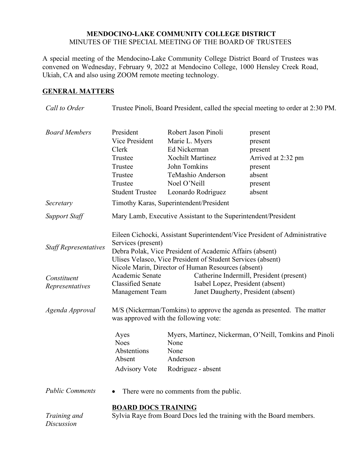## **MENDOCINO-LAKE COMMUNITY COLLEGE DISTRICT** MINUTES OF THE SPECIAL MEETING OF THE BOARD OF TRUSTEES

A special meeting of the Mendocino-Lake Community College District Board of Trustees was convened on Wednesday, February 9, 2022 at Mendocino College, 1000 Hensley Creek Road, Ukiah, CA and also using ZOOM remote meeting technology.

## **GENERAL MATTERS**

| Call to Order                                                  | Trustee Pinoli, Board President, called the special meeting to order at 2:30 PM.                                                                                                                                                                                                                                                                                                                                                                                                  |                                                                                                                                                             |                                                                                               |
|----------------------------------------------------------------|-----------------------------------------------------------------------------------------------------------------------------------------------------------------------------------------------------------------------------------------------------------------------------------------------------------------------------------------------------------------------------------------------------------------------------------------------------------------------------------|-------------------------------------------------------------------------------------------------------------------------------------------------------------|-----------------------------------------------------------------------------------------------|
| <b>Board Members</b>                                           | President<br>Vice President<br>Clerk<br>Trustee<br>Trustee<br>Trustee<br>Trustee<br><b>Student Trustee</b>                                                                                                                                                                                                                                                                                                                                                                        | Robert Jason Pinoli<br>Marie L. Myers<br>Ed Nickerman<br><b>Xochilt Martinez</b><br>John Tomkins<br>TeMashio Anderson<br>Noel O'Neill<br>Leonardo Rodriguez | present<br>present<br>present<br>Arrived at 2:32 pm<br>present<br>absent<br>present<br>absent |
| Secretary                                                      | Timothy Karas, Superintendent/President                                                                                                                                                                                                                                                                                                                                                                                                                                           |                                                                                                                                                             |                                                                                               |
| <b>Support Staff</b>                                           | Mary Lamb, Executive Assistant to the Superintendent/President                                                                                                                                                                                                                                                                                                                                                                                                                    |                                                                                                                                                             |                                                                                               |
| <b>Staff Representatives</b><br>Constituent<br>Representatives | Eileen Cichocki, Assistant Superintendent/Vice President of Administrative<br>Services (present)<br>Debra Polak, Vice President of Academic Affairs (absent)<br>Ulises Velasco, Vice President of Student Services (absent)<br>Nicole Marin, Director of Human Resources (absent)<br>Academic Senate<br>Catherine Indermill, President (present)<br><b>Classified Senate</b><br>Isabel Lopez, President (absent)<br>Janet Daugherty, President (absent)<br><b>Management Team</b> |                                                                                                                                                             |                                                                                               |
| Agenda Approval                                                | M/S (Nickerman/Tomkins) to approve the agenda as presented. The matter<br>was approved with the following vote:                                                                                                                                                                                                                                                                                                                                                                   |                                                                                                                                                             |                                                                                               |
|                                                                | Ayes<br><b>Noes</b><br>Abstentions<br>Absent<br><b>Advisory Vote</b>                                                                                                                                                                                                                                                                                                                                                                                                              | None<br>None<br>Anderson<br>Rodriguez - absent                                                                                                              | Myers, Martinez, Nickerman, O'Neill, Tomkins and Pinoli                                       |
| <b>Public Comments</b>                                         | There were no comments from the public.                                                                                                                                                                                                                                                                                                                                                                                                                                           |                                                                                                                                                             |                                                                                               |
| Training and<br><b>Discussion</b>                              | <b>BOARD DOCS TRAINING</b><br>Sylvia Raye from Board Docs led the training with the Board members.                                                                                                                                                                                                                                                                                                                                                                                |                                                                                                                                                             |                                                                                               |